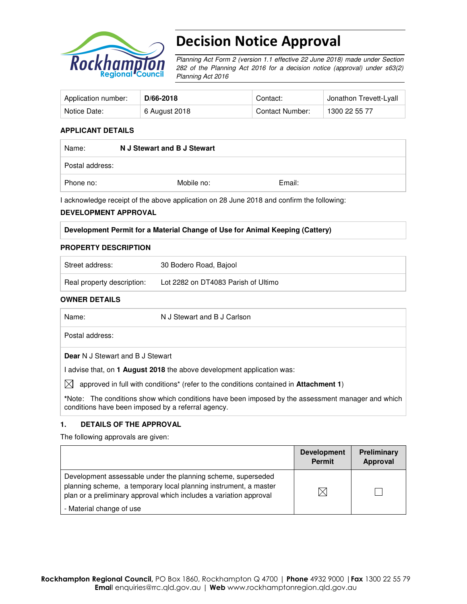

# Decision Notice Approval

Planning Act Form 2 (version 1.1 effective 22 June 2018) made under Section 282 of the Planning Act 2016 for a decision notice (approval) under s63(2) Planning Act 2016

| Application number: | D/66-2018     | Contact:        | Jonathon Trevett-Lyall |
|---------------------|---------------|-----------------|------------------------|
| Notice Date:        | 6 August 2018 | Contact Number: | 1300 22 55 77          |

### **APPLICANT DETAILS**

| Name:           | N J Stewart and B J Stewart |        |  |
|-----------------|-----------------------------|--------|--|
| Postal address: |                             |        |  |
| Phone no:       | Mobile no:                  | Email: |  |

I acknowledge receipt of the above application on 28 June 2018 and confirm the following:

#### **DEVELOPMENT APPROVAL**

|  | Development Permit for a Material Change of Use for Animal Keeping (Cattery) |  |  |
|--|------------------------------------------------------------------------------|--|--|
|  |                                                                              |  |  |

#### **PROPERTY DESCRIPTION**

| Street address:            | 30 Bodero Road, Bajool              |
|----------------------------|-------------------------------------|
| Real property description: | Lot 2282 on DT4083 Parish of Ultimo |

#### **OWNER DETAILS**

| Name:                                              | N J Stewart and B J Carlson                                                                               |
|----------------------------------------------------|-----------------------------------------------------------------------------------------------------------|
| Postal address:                                    |                                                                                                           |
| <b>Dear</b> N J Stewart and B J Stewart            |                                                                                                           |
|                                                    | I advise that, on 1 <b>August 2018</b> the above development application was:                             |
| IXI                                                | approved in full with conditions <sup>*</sup> (refer to the conditions contained in <b>Attachment 1</b> ) |
| conditions have been imposed by a referral agency. | *Note: The conditions show which conditions have been imposed by the assessment manager and which         |

#### **1. DETAILS OF THE APPROVAL**

The following approvals are given:

|                                                                                                                                                                                                        | <b>Development</b><br><b>Permit</b> | <b>Preliminary</b><br>Approval |
|--------------------------------------------------------------------------------------------------------------------------------------------------------------------------------------------------------|-------------------------------------|--------------------------------|
| Development assessable under the planning scheme, superseded<br>planning scheme, a temporary local planning instrument, a master<br>plan or a preliminary approval which includes a variation approval |                                     |                                |
| - Material change of use                                                                                                                                                                               |                                     |                                |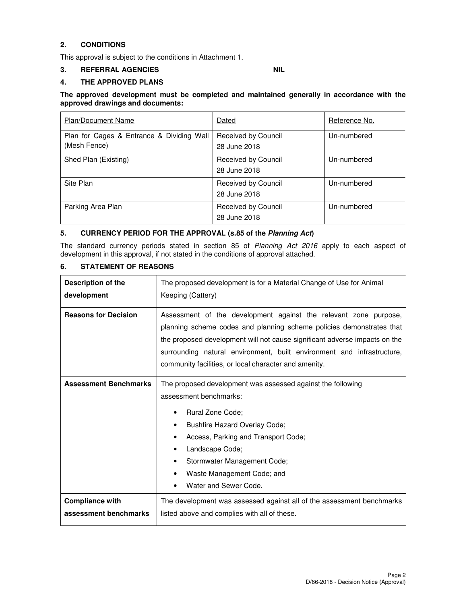## **2. CONDITIONS**

This approval is subject to the conditions in Attachment 1.

## **3. REFERRAL AGENCIES NIL**

## **4. THE APPROVED PLANS**

### **The approved development must be completed and maintained generally in accordance with the approved drawings and documents:**

| <b>Plan/Document Name</b>                                 | Dated                               | Reference No. |
|-----------------------------------------------------------|-------------------------------------|---------------|
| Plan for Cages & Entrance & Dividing Wall<br>(Mesh Fence) | Received by Council<br>28 June 2018 | Un-numbered   |
| Shed Plan (Existing)                                      | Received by Council<br>28 June 2018 | Un-numbered   |
| Site Plan                                                 | Received by Council<br>28 June 2018 | Un-numbered   |
| Parking Area Plan                                         | Received by Council<br>28 June 2018 | Un-numbered   |

## **5. CURRENCY PERIOD FOR THE APPROVAL (s.85 of the Planning Act)**

The standard currency periods stated in section 85 of Planning Act 2016 apply to each aspect of development in this approval, if not stated in the conditions of approval attached.

## **6. STATEMENT OF REASONS**

| Description of the           | The proposed development is for a Material Change of Use for Animal                                                                                                                                                                                                                                                                                       |  |  |
|------------------------------|-----------------------------------------------------------------------------------------------------------------------------------------------------------------------------------------------------------------------------------------------------------------------------------------------------------------------------------------------------------|--|--|
| development                  | Keeping (Cattery)                                                                                                                                                                                                                                                                                                                                         |  |  |
| <b>Reasons for Decision</b>  | Assessment of the development against the relevant zone purpose,<br>planning scheme codes and planning scheme policies demonstrates that<br>the proposed development will not cause significant adverse impacts on the<br>surrounding natural environment, built environment and infrastructure,<br>community facilities, or local character and amenity. |  |  |
| <b>Assessment Benchmarks</b> | The proposed development was assessed against the following<br>assessment benchmarks:<br>Rural Zone Code;<br>Bushfire Hazard Overlay Code;<br>$\bullet$<br>Access, Parking and Transport Code;<br>$\bullet$<br>Landscape Code;<br>٠<br>Stormwater Management Code;<br>٠<br>Waste Management Code; and<br>Water and Sewer Code.                            |  |  |
| <b>Compliance with</b>       | The development was assessed against all of the assessment benchmarks                                                                                                                                                                                                                                                                                     |  |  |
| assessment benchmarks        | listed above and complies with all of these.                                                                                                                                                                                                                                                                                                              |  |  |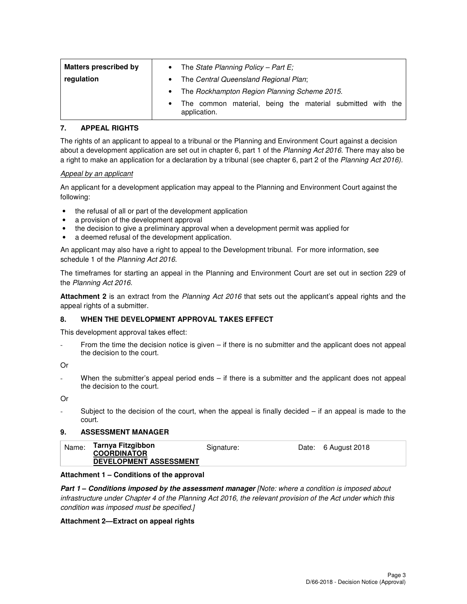| <b>Matters prescribed by</b> | $\bullet$ | The State Planning Policy - Part $E_i$                                     |  |  |
|------------------------------|-----------|----------------------------------------------------------------------------|--|--|
| regulation                   | $\bullet$ | The Central Queensland Regional Plan;                                      |  |  |
|                              | $\bullet$ | The Rockhampton Region Planning Scheme 2015.                               |  |  |
|                              | $\bullet$ | The common material, being the material submitted with the<br>application. |  |  |

## **7. APPEAL RIGHTS**

The rights of an applicant to appeal to a tribunal or the Planning and Environment Court against a decision about a development application are set out in chapter 6, part 1 of the Planning Act 2016. There may also be a right to make an application for a declaration by a tribunal (see chapter 6, part 2 of the Planning Act 2016).

## Appeal by an applicant

An applicant for a development application may appeal to the Planning and Environment Court against the following:

- the refusal of all or part of the development application
- a provision of the development approval
- the decision to give a preliminary approval when a development permit was applied for
- a deemed refusal of the development application.

An applicant may also have a right to appeal to the Development tribunal. For more information, see schedule 1 of the Planning Act 2016.

The timeframes for starting an appeal in the Planning and Environment Court are set out in section 229 of the Planning Act 2016.

**Attachment 2** is an extract from the Planning Act 2016 that sets out the applicant's appeal rights and the appeal rights of a submitter.

## **8. WHEN THE DEVELOPMENT APPROVAL TAKES EFFECT**

This development approval takes effect:

From the time the decision notice is given  $-$  if there is no submitter and the applicant does not appeal the decision to the court.

Or

When the submitter's appeal period ends  $-$  if there is a submitter and the applicant does not appeal the decision to the court.

Or

Subject to the decision of the court, when the appeal is finally decided  $-$  if an appeal is made to the court.

## **9. ASSESSMENT MANAGER**

| Name: | Tarnya Fitzgibbon             | Signature: | Date: 6 August 2018 |
|-------|-------------------------------|------------|---------------------|
|       | <b>COORDINATOR</b>            |            |                     |
|       | <b>DEVELOPMENT ASSESSMENT</b> |            |                     |

## **Attachment 1 – Conditions of the approval**

**Part 1 – Conditions imposed by the assessment manager** [Note: where a condition is imposed about infrastructure under Chapter 4 of the Planning Act 2016, the relevant provision of the Act under which this condition was imposed must be specified.]

## **Attachment 2—Extract on appeal rights**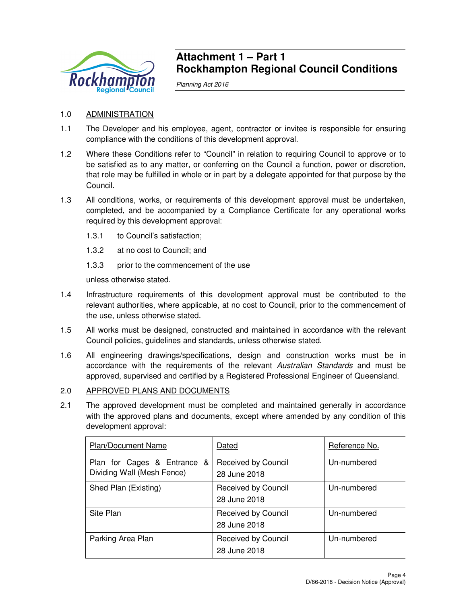

## **Attachment 1 – Part 1 Rockhampton Regional Council Conditions**

Planning Act 2016

## 1.0 ADMINISTRATION

- 1.1 The Developer and his employee, agent, contractor or invitee is responsible for ensuring compliance with the conditions of this development approval.
- 1.2 Where these Conditions refer to "Council" in relation to requiring Council to approve or to be satisfied as to any matter, or conferring on the Council a function, power or discretion, that role may be fulfilled in whole or in part by a delegate appointed for that purpose by the Council.
- 1.3 All conditions, works, or requirements of this development approval must be undertaken, completed, and be accompanied by a Compliance Certificate for any operational works required by this development approval:
	- 1.3.1 to Council's satisfaction;
	- 1.3.2 at no cost to Council; and
	- 1.3.3 prior to the commencement of the use

unless otherwise stated.

- 1.4 Infrastructure requirements of this development approval must be contributed to the relevant authorities, where applicable, at no cost to Council, prior to the commencement of the use, unless otherwise stated.
- 1.5 All works must be designed, constructed and maintained in accordance with the relevant Council policies, guidelines and standards, unless otherwise stated.
- 1.6 All engineering drawings/specifications, design and construction works must be in accordance with the requirements of the relevant Australian Standards and must be approved, supervised and certified by a Registered Professional Engineer of Queensland.

## 2.0 APPROVED PLANS AND DOCUMENTS

2.1 The approved development must be completed and maintained generally in accordance with the approved plans and documents, except where amended by any condition of this development approval:

| <b>Plan/Document Name</b>                                 | Dated                               | Reference No. |
|-----------------------------------------------------------|-------------------------------------|---------------|
| Plan for Cages & Entrance &<br>Dividing Wall (Mesh Fence) | Received by Council<br>28 June 2018 | Un-numbered   |
| Shed Plan (Existing)                                      | Received by Council<br>28 June 2018 | Un-numbered   |
| Site Plan                                                 | Received by Council<br>28 June 2018 | Un-numbered   |
| Parking Area Plan                                         | Received by Council<br>28 June 2018 | Un-numbered   |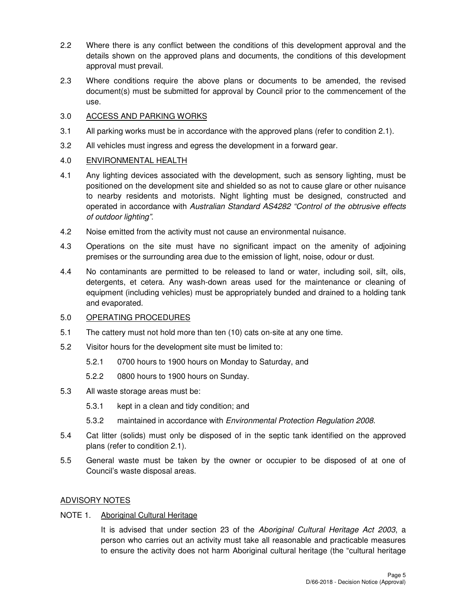- 2.2 Where there is any conflict between the conditions of this development approval and the details shown on the approved plans and documents, the conditions of this development approval must prevail.
- 2.3 Where conditions require the above plans or documents to be amended, the revised document(s) must be submitted for approval by Council prior to the commencement of the use.

## 3.0 ACCESS AND PARKING WORKS

- 3.1 All parking works must be in accordance with the approved plans (refer to condition 2.1).
- 3.2 All vehicles must ingress and egress the development in a forward gear.

## 4.0 ENVIRONMENTAL HEALTH

- 4.1 Any lighting devices associated with the development, such as sensory lighting, must be positioned on the development site and shielded so as not to cause glare or other nuisance to nearby residents and motorists. Night lighting must be designed, constructed and operated in accordance with Australian Standard AS4282 "Control of the obtrusive effects of outdoor lighting".
- 4.2 Noise emitted from the activity must not cause an environmental nuisance.
- 4.3 Operations on the site must have no significant impact on the amenity of adjoining premises or the surrounding area due to the emission of light, noise, odour or dust.
- 4.4 No contaminants are permitted to be released to land or water, including soil, silt, oils, detergents, et cetera. Any wash-down areas used for the maintenance or cleaning of equipment (including vehicles) must be appropriately bunded and drained to a holding tank and evaporated.

## 5.0 OPERATING PROCEDURES

- 5.1 The cattery must not hold more than ten (10) cats on-site at any one time.
- 5.2 Visitor hours for the development site must be limited to:
	- 5.2.1 0700 hours to 1900 hours on Monday to Saturday, and
	- 5.2.2 0800 hours to 1900 hours on Sunday.
- 5.3 All waste storage areas must be:
	- 5.3.1 kept in a clean and tidy condition; and
	- 5.3.2 maintained in accordance with Environmental Protection Regulation 2008.
- 5.4 Cat litter (solids) must only be disposed of in the septic tank identified on the approved plans (refer to condition 2.1).
- 5.5 General waste must be taken by the owner or occupier to be disposed of at one of Council's waste disposal areas.

## ADVISORY NOTES

## NOTE 1. Aboriginal Cultural Heritage

It is advised that under section 23 of the Aboriginal Cultural Heritage Act 2003, a person who carries out an activity must take all reasonable and practicable measures to ensure the activity does not harm Aboriginal cultural heritage (the "cultural heritage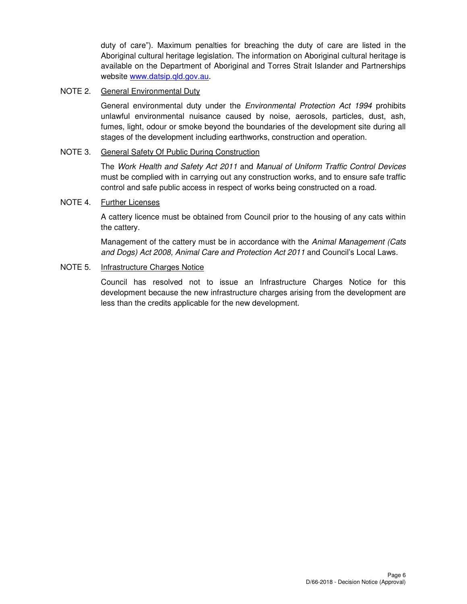duty of care"). Maximum penalties for breaching the duty of care are listed in the Aboriginal cultural heritage legislation. The information on Aboriginal cultural heritage is available on the Department of Aboriginal and Torres Strait Islander and Partnerships website www.datsip.qld.gov.au.

## NOTE 2. General Environmental Duty

General environmental duty under the *Environmental Protection Act 1994* prohibits unlawful environmental nuisance caused by noise, aerosols, particles, dust, ash, fumes, light, odour or smoke beyond the boundaries of the development site during all stages of the development including earthworks, construction and operation.

## NOTE 3. General Safety Of Public During Construction

The Work Health and Safety Act 2011 and Manual of Uniform Traffic Control Devices must be complied with in carrying out any construction works, and to ensure safe traffic control and safe public access in respect of works being constructed on a road.

## NOTE 4. Further Licenses

A cattery licence must be obtained from Council prior to the housing of any cats within the cattery.

Management of the cattery must be in accordance with the Animal Management (Cats and Dogs) Act 2008, Animal Care and Protection Act 2011 and Council's Local Laws.

## NOTE 5. Infrastructure Charges Notice

Council has resolved not to issue an Infrastructure Charges Notice for this development because the new infrastructure charges arising from the development are less than the credits applicable for the new development.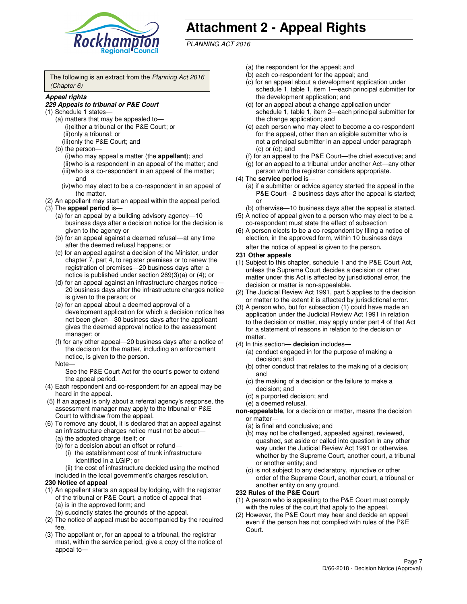

# **Attachment 2 - Appeal Rights**

PLANNING ACT 2016

The following is an extract from the Planning Act 2016 (Chapter 6)

#### **Appeal rights**

#### **229 Appeals to tribunal or P&E Court**

- (1) Schedule 1 states—
	- (a) matters that may be appealed to— (i) either a tribunal or the P&E Court; or (ii) only a tribunal; or (iii) only the P&E Court; and
	- (b) the person—
		- (i) who may appeal a matter (the **appellant**); and
		- (ii) who is a respondent in an appeal of the matter; and (iii) who is a co-respondent in an appeal of the matter; and
		- (iv) who may elect to be a co-respondent in an appeal of the matter.
- (2) An appellant may start an appeal within the appeal period.
- (3) The **appeal period** is—
	- (a) for an appeal by a building advisory agency—10 business days after a decision notice for the decision is given to the agency or
	- (b) for an appeal against a deemed refusal—at any time after the deemed refusal happens; or
	- (c) for an appeal against a decision of the Minister, under chapter 7, part 4, to register premises or to renew the registration of premises—20 business days after a notice is published under section 269(3)(a) or (4); or
	- (d) for an appeal against an infrastructure charges notice— 20 business days after the infrastructure charges notice is given to the person; or
	- (e) for an appeal about a deemed approval of a development application for which a decision notice has not been given—30 business days after the applicant gives the deemed approval notice to the assessment manager; or
	- (f) for any other appeal—20 business days after a notice of the decision for the matter, including an enforcement notice, is given to the person.
	- Note—

See the P&E Court Act for the court's power to extend the appeal period.

- (4) Each respondent and co-respondent for an appeal may be heard in the appeal.
- (5) If an appeal is only about a referral agency's response, the assessment manager may apply to the tribunal or P&E Court to withdraw from the appeal.
- (6) To remove any doubt, it is declared that an appeal against an infrastructure charges notice must not be about—
	- (a) the adopted charge itself; or
	- (b) for a decision about an offset or refund—
		- (i) the establishment cost of trunk infrastructure identified in a LGIP; or
		- (ii) the cost of infrastructure decided using the method
- included in the local government's charges resolution. **230 Notice of appeal**
- (1) An appellant starts an appeal by lodging, with the registrar of the tribunal or P&E Court, a notice of appeal that—
	- (a) is in the approved form; and
	- (b) succinctly states the grounds of the appeal.
- (2) The notice of appeal must be accompanied by the required fee.
- (3) The appellant or, for an appeal to a tribunal, the registrar must, within the service period, give a copy of the notice of appeal to—
- (a) the respondent for the appeal; and
- (b) each co-respondent for the appeal; and
- (c) for an appeal about a development application under schedule 1, table 1, item 1—each principal submitter for the development application; and
- (d) for an appeal about a change application under schedule 1, table 1, item 2—each principal submitter for the change application; and
- (e) each person who may elect to become a co-respondent for the appeal, other than an eligible submitter who is not a principal submitter in an appeal under paragraph  $(c)$  or  $(d)$ ; and
- (f) for an appeal to the P&E Court—the chief executive; and
- (g) for an appeal to a tribunal under another Act—any other person who the registrar considers appropriate.
- (4) The **service period** is—
	- (a) if a submitter or advice agency started the appeal in the P&E Court—2 business days after the appeal is started; or
	- (b) otherwise—10 business days after the appeal is started.
- (5) A notice of appeal given to a person who may elect to be a co-respondent must state the effect of subsection
- (6) A person elects to be a co-respondent by filing a notice of election, in the approved form, within 10 business days after the notice of appeal is given to the person*.*
- **231 Other appeals**
- (1) Subject to this chapter, schedule 1 and the P&E Court Act, unless the Supreme Court decides a decision or other matter under this Act is affected by jurisdictional error, the decision or matter is non-appealable.
- (2) The Judicial Review Act 1991, part 5 applies to the decision or matter to the extent it is affected by jurisdictional error.
- (3) A person who, but for subsection (1) could have made an application under the Judicial Review Act 1991 in relation to the decision or matter, may apply under part 4 of that Act for a statement of reasons in relation to the decision or matter.
- (4) In this section— **decision** includes—
	- (a) conduct engaged in for the purpose of making a decision; and
	- (b) other conduct that relates to the making of a decision; and
	- (c) the making of a decision or the failure to make a decision; and
	- (d) a purported decision; and
	- (e) a deemed refusal.

**non-appealable**, for a decision or matter, means the decision or matter—

- (a) is final and conclusive; and
- (b) may not be challenged, appealed against, reviewed, quashed, set aside or called into question in any other way under the Judicial Review Act 1991 or otherwise, whether by the Supreme Court, another court, a tribunal or another entity; and
- (c) is not subject to any declaratory, injunctive or other order of the Supreme Court, another court, a tribunal or another entity on any ground.

#### **232 Rules of the P&E Court**

- (1) A person who is appealing to the P&E Court must comply with the rules of the court that apply to the appeal.
- (2) However, the P&E Court may hear and decide an appeal even if the person has not complied with rules of the P&E Court.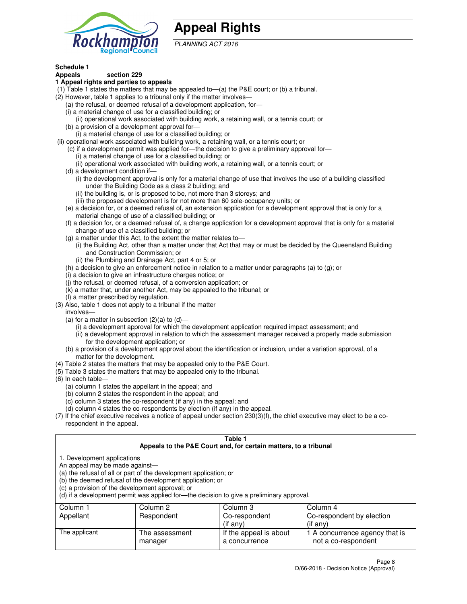

## **Appeal Rights**

PLANNING ACT 2016

## **Schedule 1**

## **Appeals section 229**

#### **1 Appeal rights and parties to appeals**

- (1) Table 1 states the matters that may be appealed to—(a) the P&E court; or (b) a tribunal.
- (2) However, table 1 applies to a tribunal only if the matter involves—
	- (a) the refusal, or deemed refusal of a development application, for—
	- (i) a material change of use for a classified building; or
	- (ii) operational work associated with building work, a retaining wall, or a tennis court; or
	- (b) a provision of a development approval for—
	- (i) a material change of use for a classified building; or
- (ii) operational work associated with building work, a retaining wall, or a tennis court; or
	- (c) if a development permit was applied for—the decision to give a preliminary approval for—
		- (i) a material change of use for a classified building; or
		- (ii) operational work associated with building work, a retaining wall, or a tennis court; or
	- (d) a development condition if—
		- (i) the development approval is only for a material change of use that involves the use of a building classified under the Building Code as a class 2 building; and
		- (ii) the building is, or is proposed to be, not more than 3 storeys; and
		- (iii) the proposed development is for not more than 60 sole-occupancy units; or
	- (e) a decision for, or a deemed refusal of, an extension application for a development approval that is only for a material change of use of a classified building; or
	- (f) a decision for, or a deemed refusal of, a change application for a development approval that is only for a material change of use of a classified building; or
	- (g) a matter under this Act, to the extent the matter relates to—
		- (i) the Building Act, other than a matter under that Act that may or must be decided by the Queensland Building and Construction Commission; or
		- (ii) the Plumbing and Drainage Act, part 4 or 5; or
	- (h) a decision to give an enforcement notice in relation to a matter under paragraphs (a) to (g); or
	- (i) a decision to give an infrastructure charges notice; or
	- (j) the refusal, or deemed refusal, of a conversion application; or
	- (k) a matter that, under another Act, may be appealed to the tribunal; or
	- (l) a matter prescribed by regulation.
- (3) Also, table 1 does not apply to a tribunal if the matter
	- involves—
	- (a) for a matter in subsection  $(2)(a)$  to  $(d)$ 
		- (i) a development approval for which the development application required impact assessment; and
		- (ii) a development approval in relation to which the assessment manager received a properly made submission for the development application; or
	- (b) a provision of a development approval about the identification or inclusion, under a variation approval, of a matter for the development.
- (4) Table 2 states the matters that may be appealed only to the P&E Court.
- (5) Table 3 states the matters that may be appealed only to the tribunal.
- (6) In each table—
	- (a) column 1 states the appellant in the appeal; and
	- (b) column 2 states the respondent in the appeal; and
	- (c) column 3 states the co-respondent (if any) in the appeal; and
	- (d) column 4 states the co-respondents by election (if any) in the appeal.
- $(7)$  If the chief executive receives a notice of appeal under section  $230(3)(f)$ , the chief executive may elect to be a corespondent in the appeal.

| Table 1<br>Appeals to the P&E Court and, for certain matters, to a tribunal                                      |                                                                                                                                |                                                                                          |                                                       |  |  |  |
|------------------------------------------------------------------------------------------------------------------|--------------------------------------------------------------------------------------------------------------------------------|------------------------------------------------------------------------------------------|-------------------------------------------------------|--|--|--|
| 1. Development applications<br>An appeal may be made against-<br>(c) a provision of the development approval; or | (a) the refusal of all or part of the development application; or<br>(b) the deemed refusal of the development application; or | (d) if a development permit was applied for—the decision to give a preliminary approval. |                                                       |  |  |  |
| Column 1                                                                                                         | Column 2                                                                                                                       | Column 3                                                                                 | Column 4                                              |  |  |  |
| Appellant                                                                                                        | Respondent<br>Co-respondent by election<br>Co-respondent                                                                       |                                                                                          |                                                       |  |  |  |
| (if any)<br>$($ if any $)$                                                                                       |                                                                                                                                |                                                                                          |                                                       |  |  |  |
| The applicant                                                                                                    | The assessment<br>manager                                                                                                      | If the appeal is about<br>a concurrence                                                  | 1 A concurrence agency that is<br>not a co-respondent |  |  |  |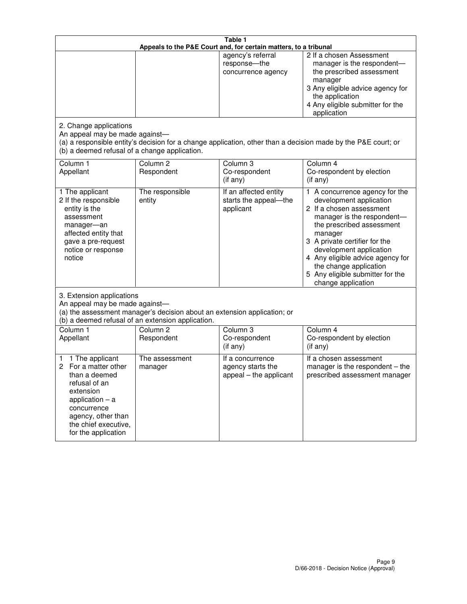| Table 1<br>Appeals to the P&E Court and, for certain matters, to a tribunal                                                                                                                             |                                   |                                                                 |                                                                                                                                                                                                                                                                                                                                                 |  |
|---------------------------------------------------------------------------------------------------------------------------------------------------------------------------------------------------------|-----------------------------------|-----------------------------------------------------------------|-------------------------------------------------------------------------------------------------------------------------------------------------------------------------------------------------------------------------------------------------------------------------------------------------------------------------------------------------|--|
|                                                                                                                                                                                                         |                                   | agency's referral<br>response-the<br>concurrence agency         | 2 If a chosen Assessment<br>manager is the respondent-<br>the prescribed assessment<br>manager<br>3 Any eligible advice agency for<br>the application<br>4 Any eligible submitter for the<br>application                                                                                                                                        |  |
| 2. Change applications<br>An appeal may be made against-<br>(b) a deemed refusal of a change application.                                                                                               |                                   |                                                                 | (a) a responsible entity's decision for a change application, other than a decision made by the P&E court; or                                                                                                                                                                                                                                   |  |
| Column 1<br>Appellant                                                                                                                                                                                   | Column <sub>2</sub><br>Respondent | Column 3<br>Co-respondent<br>(if any)                           | Column 4<br>Co-respondent by election<br>(if any)                                                                                                                                                                                                                                                                                               |  |
| 1 The applicant<br>2 If the responsible<br>entity is the<br>assessment<br>manager-an<br>affected entity that<br>gave a pre-request<br>notice or response<br>notice                                      | The responsible<br>entity         | If an affected entity<br>starts the appeal-the<br>applicant     | 1 A concurrence agency for the<br>development application<br>2 If a chosen assessment<br>manager is the respondent-<br>the prescribed assessment<br>manager<br>3 A private certifier for the<br>development application<br>4 Any eligible advice agency for<br>the change application<br>5 Any eligible submitter for the<br>change application |  |
| 3. Extension applications<br>An appeal may be made against-<br>(a) the assessment manager's decision about an extension application; or<br>(b) a deemed refusal of an extension application.            |                                   |                                                                 |                                                                                                                                                                                                                                                                                                                                                 |  |
| Column 1<br>Appellant                                                                                                                                                                                   | Column <sub>2</sub><br>Respondent | Column <sub>3</sub><br>Co-respondent<br>(if any)                | Column 4<br>Co-respondent by election<br>(if any)                                                                                                                                                                                                                                                                                               |  |
| 1 The applicant<br>1<br>For a matter other<br>2<br>than a deemed<br>refusal of an<br>extension<br>application $-$ a<br>concurrence<br>agency, other than<br>the chief executive,<br>for the application | The assessment<br>manager         | If a concurrence<br>agency starts the<br>appeal - the applicant | If a chosen assessment<br>manager is the respondent $-$ the<br>prescribed assessment manager                                                                                                                                                                                                                                                    |  |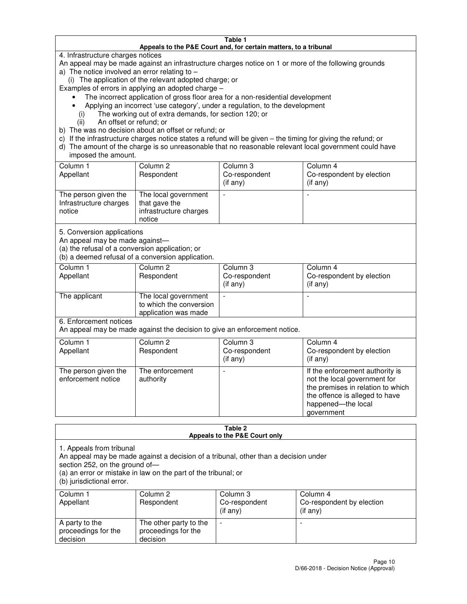#### **Table 1 Appeals to the P&E Court and, for certain matters, to a tribunal**

4. Infrastructure charges notices

An appeal may be made against an infrastructure charges notice on 1 or more of the following grounds

- a) The notice involved an error relating to
	- (i) The application of the relevant adopted charge; or

Examples of errors in applying an adopted charge –

- The incorrect application of gross floor area for a non-residential development
- Applying an incorrect 'use category', under a regulation, to the development
	- (i) The working out of extra demands, for section 120; or
	- (ii) An offset or refund; or
- b) The was no decision about an offset or refund; or
- c) If the infrastructure charges notice states a refund will be given the timing for giving the refund; or
- d) The amount of the charge is so unreasonable that no reasonable relevant local government could have imposed the amount.

| Column 1<br>Appellant                                    | Column 2<br>Respondent                                                    | Column 3<br>Co-respondent<br>$($ if any $)$ | Column 4<br>Co-respondent by election<br>$($ if any $)$ |
|----------------------------------------------------------|---------------------------------------------------------------------------|---------------------------------------------|---------------------------------------------------------|
| The person given the<br>Infrastructure charges<br>notice | The local government<br>that gave the<br>infrastructure charges<br>notice |                                             |                                                         |

5. Conversion applications

An appeal may be made against—

(a) the refusal of a conversion application; or

(b) a deemed refusal of a conversion application.

| Column 1<br>Appellant | Column 2<br>Respondent                                                  | Column 3<br>Co-respondent<br>$($ if any $)$ | Column 4<br>Co-respondent by election<br>$($ if any $)$ |
|-----------------------|-------------------------------------------------------------------------|---------------------------------------------|---------------------------------------------------------|
| The applicant         | The local government<br>to which the conversion<br>application was made |                                             |                                                         |

6. Enforcement notices

An appeal may be made against the decision to give an enforcement notice.

| Column 1<br>Appellant                      | Column 2<br>Respondent       | Column 3<br>Co-respondent<br>$($ if any $)$ | Column 4<br>Co-respondent by election<br>(if any)                                                                                                                          |
|--------------------------------------------|------------------------------|---------------------------------------------|----------------------------------------------------------------------------------------------------------------------------------------------------------------------------|
| The person given the<br>enforcement notice | The enforcement<br>authority |                                             | If the enforcement authority is<br>not the local government for<br>the premises in relation to which<br>the offence is alleged to have<br>happened-the local<br>government |

#### **Table 2 Appeals to the P&E Court only**

1. Appeals from tribunal

An appeal may be made against a decision of a tribunal, other than a decision under

section 252, on the ground of—

(a) an error or mistake in law on the part of the tribunal; or

(b) jurisdictional error.

| Column 1<br>Appellant                             | Column 2<br>Respondent                                    | Column 3<br>Co-respondent<br>(if any) | Column 4<br>Co-respondent by election<br>(if any) |
|---------------------------------------------------|-----------------------------------------------------------|---------------------------------------|---------------------------------------------------|
| A party to the<br>proceedings for the<br>decision | The other party to the<br>proceedings for the<br>decision | -                                     |                                                   |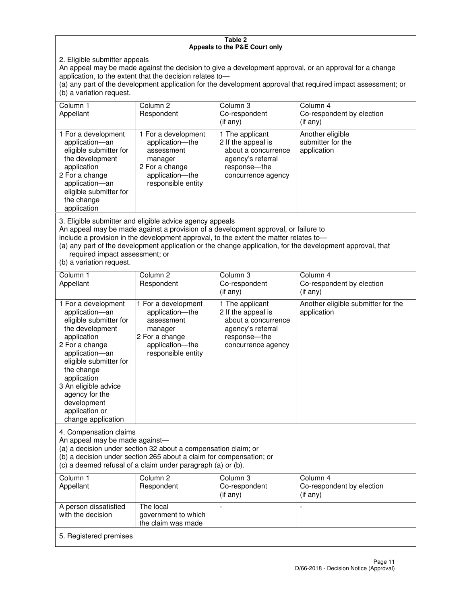#### **Table 2 Appeals to the P&E Court only**

2. Eligible submitter appeals

An appeal may be made against the decision to give a development approval, or an approval for a change application, to the extent that the decision relates to—

(a) any part of the development application for the development approval that required impact assessment; or (b) a variation request.

| Column 1<br>Appellant                                                                                                                                                                                                                                                                                                                                                                                              | Column <sub>2</sub><br>Respondent                                                                                          | Column 3<br>Co-respondent<br>(i f any)                                                                                    | Column 4<br>Co-respondent by election<br>(i f any)   |
|--------------------------------------------------------------------------------------------------------------------------------------------------------------------------------------------------------------------------------------------------------------------------------------------------------------------------------------------------------------------------------------------------------------------|----------------------------------------------------------------------------------------------------------------------------|---------------------------------------------------------------------------------------------------------------------------|------------------------------------------------------|
| 1 For a development<br>application-an<br>eligible submitter for<br>the development<br>application<br>2 For a change<br>application-an<br>eligible submitter for<br>the change<br>application                                                                                                                                                                                                                       | 1 For a development<br>application-the<br>assessment<br>manager<br>2 For a change<br>application-the<br>responsible entity | 1 The applicant<br>2 If the appeal is<br>about a concurrence<br>agency's referral<br>response---the<br>concurrence agency | Another eligible<br>submitter for the<br>application |
| 3. Eligible submitter and eligible advice agency appeals<br>An appeal may be made against a provision of a development approval, or failure to<br>include a provision in the development approval, to the extent the matter relates to-<br>(a) any part of the development application or the change application, for the development approval, that<br>required impact assessment; or<br>(b) a variation request. |                                                                                                                            |                                                                                                                           |                                                      |
| Column 1<br>Appellant                                                                                                                                                                                                                                                                                                                                                                                              | Column <sub>2</sub><br>Respondent                                                                                          | Column 3<br>Co-respondent<br>(if any)                                                                                     | Column 4<br>Co-respondent by election<br>$(if$ any)  |
| 1 For a development<br>application-an<br>eligible submitter for<br>the development                                                                                                                                                                                                                                                                                                                                 | 1 For a development<br>application-the<br>assessment<br>manager                                                            | 1 The applicant<br>2 If the appeal is<br>about a concurrence<br>agency's referral                                         | Another eligible submitter for the<br>application    |

response—the concurrence agency

change application 4. Compensation claims

application 2 For a change application—an eligible submitter for

the change application 3 An eligible advice agency for the development application or

An appeal may be made against—

(a) a decision under section 32 about a compensation claim; or

2 For a change application—the responsible entity

(b) a decision under section 265 about a claim for compensation; or

(c) a deemed refusal of a claim under paragraph (a) or (b).

| Column 1<br>Appellant                      | Column 2<br>Respondent                                 | Column 3<br>Co-respondent<br>$(if$ any) | Column 4<br>Co-respondent by election<br>(if any) |
|--------------------------------------------|--------------------------------------------------------|-----------------------------------------|---------------------------------------------------|
| A person dissatisfied<br>with the decision | The local<br>government to which<br>the claim was made | -                                       |                                                   |
| 5. Registered premises                     |                                                        |                                         |                                                   |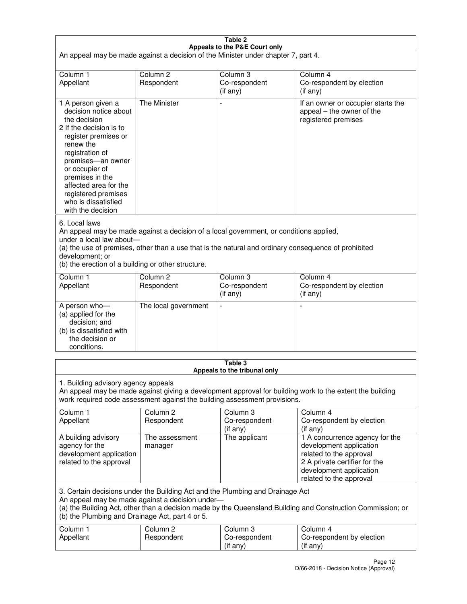| Table 2<br>Appeals to the P&E Court only                                                                                                                                                                                                                                                                             |                                   |                                       |                                                                                                                                                                             |  |  |
|----------------------------------------------------------------------------------------------------------------------------------------------------------------------------------------------------------------------------------------------------------------------------------------------------------------------|-----------------------------------|---------------------------------------|-----------------------------------------------------------------------------------------------------------------------------------------------------------------------------|--|--|
| An appeal may be made against a decision of the Minister under chapter 7, part 4.                                                                                                                                                                                                                                    |                                   |                                       |                                                                                                                                                                             |  |  |
|                                                                                                                                                                                                                                                                                                                      |                                   |                                       |                                                                                                                                                                             |  |  |
| Column 1<br>Appellant                                                                                                                                                                                                                                                                                                | Column <sub>2</sub><br>Respondent | Column <sub>3</sub><br>Co-respondent  | Column <sub>4</sub><br>Co-respondent by election                                                                                                                            |  |  |
|                                                                                                                                                                                                                                                                                                                      |                                   | (if any)                              | (if any)                                                                                                                                                                    |  |  |
| 1 A person given a<br>decision notice about<br>the decision<br>2 If the decision is to<br>register premises or<br>renew the<br>registration of<br>premises-an owner<br>or occupier of<br>premises in the<br>affected area for the<br>registered premises<br>who is dissatisfied<br>with the decision                 | <b>The Minister</b>               |                                       | If an owner or occupier starts the<br>appeal – the owner of the<br>registered premises                                                                                      |  |  |
| 6. Local laws<br>An appeal may be made against a decision of a local government, or conditions applied,<br>under a local law about-<br>(a) the use of premises, other than a use that is the natural and ordinary consequence of prohibited<br>development; or<br>(b) the erection of a building or other structure. |                                   |                                       |                                                                                                                                                                             |  |  |
| Column 1                                                                                                                                                                                                                                                                                                             | Column <sub>2</sub>               | Column 3                              | Column $\overline{4}$                                                                                                                                                       |  |  |
| Appellant                                                                                                                                                                                                                                                                                                            | Respondent                        | Co-respondent<br>(if any)             | Co-respondent by election<br>(if any)                                                                                                                                       |  |  |
| A person who-<br>(a) applied for the<br>decision; and<br>(b) is dissatisfied with<br>the decision or<br>conditions.                                                                                                                                                                                                  | The local government              |                                       |                                                                                                                                                                             |  |  |
|                                                                                                                                                                                                                                                                                                                      | Table 3                           |                                       |                                                                                                                                                                             |  |  |
| Appeals to the tribunal only<br>1. Building advisory agency appeals<br>An appeal may be made against giving a development approval for building work to the extent the building<br>work required code assessment against the building assessment provisions.                                                         |                                   |                                       |                                                                                                                                                                             |  |  |
| Column 1<br>Appellant                                                                                                                                                                                                                                                                                                | Column <sub>2</sub><br>Respondent | Column 3<br>Co-respondent<br>(if any) | Column 4<br>Co-respondent by election<br>(if any)                                                                                                                           |  |  |
| A building advisory<br>agency for the<br>development application<br>related to the approval                                                                                                                                                                                                                          | The assessment<br>manager         | The applicant                         | 1 A concurrence agency for the<br>development application<br>related to the approval<br>2 A private certifier for the<br>development application<br>related to the approval |  |  |
| 3. Certain decisions under the Building Act and the Plumbing and Drainage Act<br>An appeal may be made against a decision under-<br>(a) the Building Act, other than a decision made by the Queensland Building and Construction Commission; or<br>(b) the Plumbing and Drainage Act, part 4 or 5.                   |                                   |                                       |                                                                                                                                                                             |  |  |
| Column 1<br>Appellant                                                                                                                                                                                                                                                                                                | Column <sub>2</sub><br>Respondent | Column 3<br>Co-respondent<br>(if any) | Column 4<br>Co-respondent by election<br>(if any)                                                                                                                           |  |  |